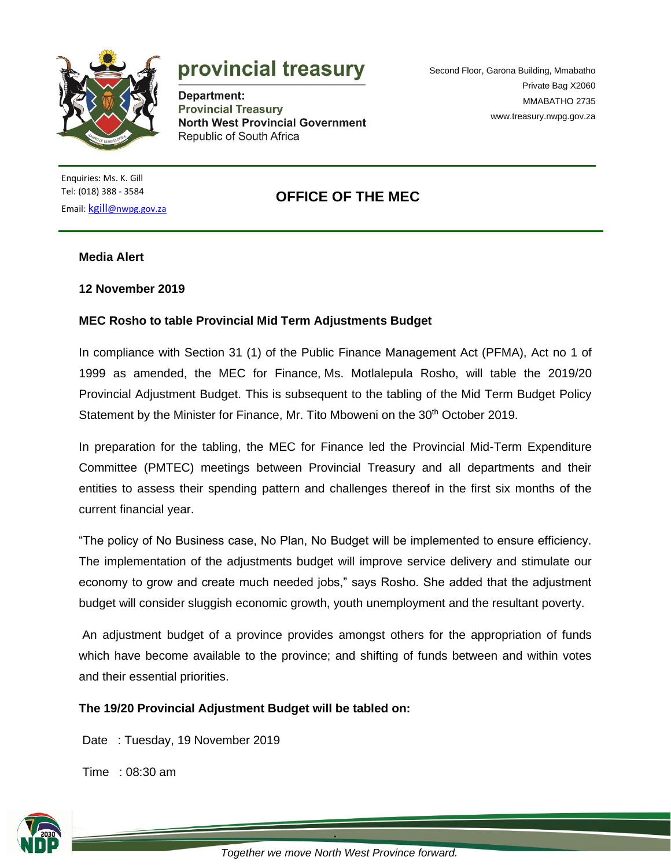

# provincial treasury

Department: **Provincial Treasury North West Provincial Government** Republic of South Africa

Second Floor, Garona Building, Mmabatho Private Bag X2060 MMABATHO 2735 [www.treasury.nwpg.gov.za](http://www.treasury.nwpg.gov.za/)

Enquiries: Ms. K. Gill Tel: (018) 388 - 3584 Email: kgill[@nwpg.gov.za](mailto:kgill@nwpg.gov.za)

## **OFFICE OF THE MEC**

#### **Media Alert**

#### **12 November 2019**

### **MEC Rosho to table Provincial Mid Term Adjustments Budget**

In compliance with Section 31 (1) of the Public Finance Management Act (PFMA), Act no 1 of 1999 as amended, the MEC for Finance, Ms. Motlalepula Rosho, will table the 2019/20 Provincial Adjustment Budget. This is subsequent to the tabling of the Mid Term Budget Policy Statement by the Minister for Finance, Mr. Tito Mboweni on the 30<sup>th</sup> October 2019.

In preparation for the tabling, the MEC for Finance led the Provincial Mid-Term Expenditure Committee (PMTEC) meetings between Provincial Treasury and all departments and their entities to assess their spending pattern and challenges thereof in the first six months of the current financial year.

"The policy of No Business case, No Plan, No Budget will be implemented to ensure efficiency. The implementation of the adjustments budget will improve service delivery and stimulate our economy to grow and create much needed jobs," says Rosho. She added that the adjustment budget will consider sluggish economic growth, youth unemployment and the resultant poverty.

An adjustment budget of a province provides amongst others for the appropriation of funds which have become available to the province; and shifting of funds between and within votes and their essential priorities.

#### **The 19/20 Provincial Adjustment Budget will be tabled on:**

Date : Tuesday, 19 November 2019

Time : 08:30 am



**.** *Together we move North West Province forward.*